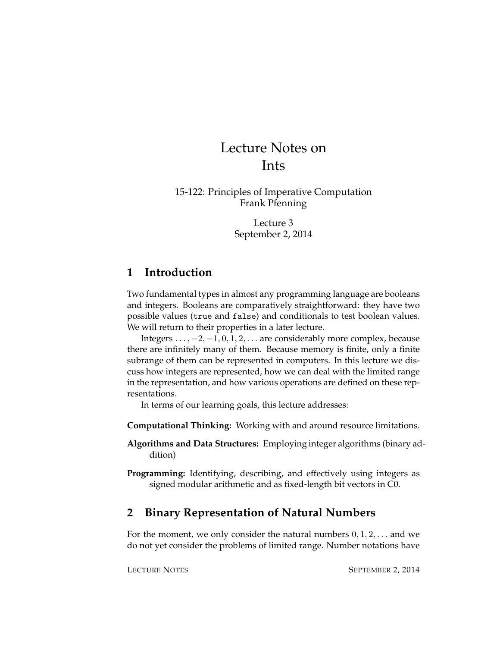# Lecture Notes on Ints

15-122: Principles of Imperative Computation Frank Pfenning

> Lecture 3 September 2, 2014

# **1 Introduction**

Two fundamental types in almost any programming language are booleans and integers. Booleans are comparatively straightforward: they have two possible values (true and false) and conditionals to test boolean values. We will return to their properties in a later lecture.

Integers  $\dots$ ,  $-2$ ,  $-1$ ,  $0$ ,  $1$ ,  $2$ ,  $\dots$  are considerably more complex, because there are infinitely many of them. Because memory is finite, only a finite subrange of them can be represented in computers. In this lecture we discuss how integers are represented, how we can deal with the limited range in the representation, and how various operations are defined on these representations.

In terms of our learning goals, this lecture addresses:

**Computational Thinking:** Working with and around resource limitations.

- **Algorithms and Data Structures:** Employing integer algorithms (binary addition)
- **Programming:** Identifying, describing, and effectively using integers as signed modular arithmetic and as fixed-length bit vectors in C0.

# **2 Binary Representation of Natural Numbers**

For the moment, we only consider the natural numbers  $0, 1, 2, \ldots$  and we do not yet consider the problems of limited range. Number notations have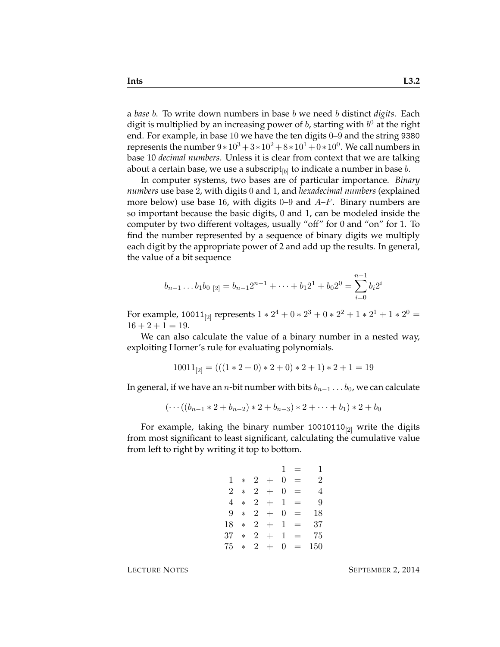a *base* b. To write down numbers in base b we need b distinct *digits*. Each digit is multiplied by an increasing power of  $b$ , starting with  $b^0$  at the right end. For example, in base 10 we have the ten digits 0–9 and the string 9380 represents the number  $9*10^3 + 3*10^2 + 8*10^1 + 0*10^0$ . We call numbers in base 10 *decimal numbers*. Unless it is clear from context that we are talking about a certain base, we use a subscript $_{[b]}$  to indicate a number in base  $b.$ 

In computer systems, two bases are of particular importance. *Binary numbers* use base 2, with digits 0 and 1, and *hexadecimal numbers* (explained more below) use base 16, with digits 0–9 and  $A-F$ . Binary numbers are so important because the basic digits, 0 and 1, can be modeled inside the computer by two different voltages, usually "off" for 0 and "on" for 1. To find the number represented by a sequence of binary digits we multiply each digit by the appropriate power of 2 and add up the results. In general, the value of a bit sequence

$$
b_{n-1} \dots b_1 b_0 \,_{[2]} = b_{n-1} 2^{n-1} + \dots + b_1 2^1 + b_0 2^0 = \sum_{i=0}^{n-1} b_i 2^i
$$

For example, 10011<sub>[2]</sub> represents  $1 * 2^4 + 0 * 2^3 + 0 * 2^2 + 1 * 2^1 + 1 * 2^0 =$  $16 + 2 + 1 = 19$ .

We can also calculate the value of a binary number in a nested way, exploiting Horner's rule for evaluating polynomials.

$$
10011_{[2]} = (((1 * 2 + 0) * 2 + 0) * 2 + 1) * 2 + 1 = 19
$$

In general, if we have an *n*-bit number with bits  $b_{n-1} \ldots b_0$ , we can calculate

$$
(\cdots((b_{n-1}*2+b_{n-2})*2+b_{n-3})*2+\cdots+b_1)*2+b_0
$$

For example, taking the binary number  $10010110_{[2]}$  write the digits from most significant to least significant, calculating the cumulative value from left to right by writing it top to bottom.

> $1 = 1$  $1 * 2 + 0 = 2$  $2 * 2 + 0 = 4$  $4 * 2 + 1 = 9$  $9 * 2 + 0 = 18$  $18 * 2 + 1 = 37$  $37 * 2 + 1 = 75$  $75 * 2 + 0 = 150$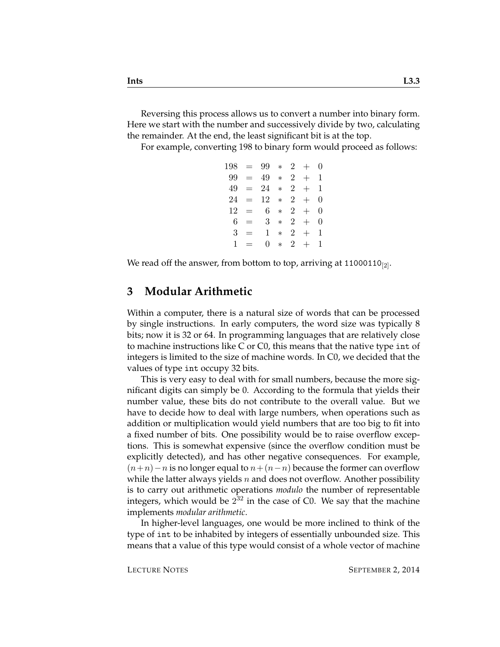Reversing this process allows us to convert a number into binary form. Here we start with the number and successively divide by two, calculating the remainder. At the end, the least significant bit is at the top.

For example, converting 198 to binary form would proceed as follows:

|     |           | $198 = 99 * 2 +$ |        |                |           | $\theta$ |
|-----|-----------|------------------|--------|----------------|-----------|----------|
| 99- | $\equiv$  | 49               |        |                | $* \ 2 +$ | 1        |
|     | $49 = 24$ |                  | $*$    | $\overline{2}$ | $+$       | 1        |
| 24  | $\equiv$  | 12               | $*$    | $2^{\circ}$    | $+$       | 0        |
| 12  | $=$ $-$   | 6.               | $\ast$ | $2^{\circ}$    | $+$       | 0        |
| 6   | $=$       | $3^-$            | $\ast$ | $\overline{2}$ | $+$       | 0        |
| 3   | $=$       | 1.               | $\ast$ | $2^{\circ}$    | $^{+}$    | 1        |
| 1   | $=$       | 0                | $\ast$ | $2^{\circ}$    | $+$       | 1        |
|     |           |                  |        |                |           |          |

We read off the answer, from bottom to top, arriving at 11000110 $_{[2]}$ .

#### **3 Modular Arithmetic**

Within a computer, there is a natural size of words that can be processed by single instructions. In early computers, the word size was typically 8 bits; now it is 32 or 64. In programming languages that are relatively close to machine instructions like C or C0, this means that the native type int of integers is limited to the size of machine words. In C0, we decided that the values of type int occupy 32 bits.

This is very easy to deal with for small numbers, because the more significant digits can simply be 0. According to the formula that yields their number value, these bits do not contribute to the overall value. But we have to decide how to deal with large numbers, when operations such as addition or multiplication would yield numbers that are too big to fit into a fixed number of bits. One possibility would be to raise overflow exceptions. This is somewhat expensive (since the overflow condition must be explicitly detected), and has other negative consequences. For example,  $(n+n)-n$  is no longer equal to  $n+(n-n)$  because the former can overflow while the latter always yields n and does not overflow. Another possibility is to carry out arithmetic operations *modulo* the number of representable integers, which would be  $2^{32}$  in the case of C0. We say that the machine implements *modular arithmetic*.

In higher-level languages, one would be more inclined to think of the type of int to be inhabited by integers of essentially unbounded size. This means that a value of this type would consist of a whole vector of machine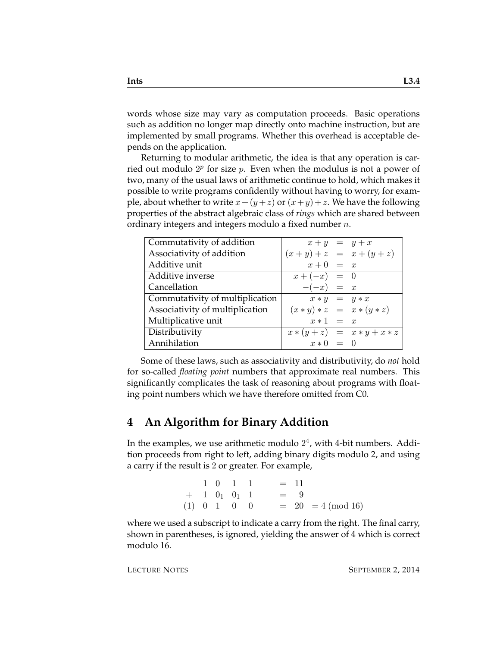words whose size may vary as computation proceeds. Basic operations such as addition no longer map directly onto machine instruction, but are implemented by small programs. Whether this overhead is acceptable depends on the application.

Returning to modular arithmetic, the idea is that any operation is carried out modulo  $2^p$  for size  $p$ . Even when the modulus is not a power of two, many of the usual laws of arithmetic continue to hold, which makes it possible to write programs confidently without having to worry, for example, about whether to write  $x + (y + z)$  or  $(x + y) + z$ . We have the following properties of the abstract algebraic class of *rings* which are shared between ordinary integers and integers modulo a fixed number  $n$ .

| Commutativity of addition       | $x + y = y + x$             |                               |
|---------------------------------|-----------------------------|-------------------------------|
| Associativity of addition       | $(x + y) + z = x + (y + z)$ |                               |
| Additive unit                   | $x+0 = x$                   |                               |
| Additive inverse                | $x + (-x) = 0$              |                               |
| Cancellation                    | $-(-x) = x$                 |                               |
| Commutativity of multiplication | $x * y = y * x$             |                               |
| Associativity of multiplication |                             | $(x * y) * z = x * (y * z)$   |
| Multiplicative unit             | $x * 1 = x$                 |                               |
| Distributivity                  |                             | $x * (y + z) = x * y + x * z$ |
| Annihilation                    | $x * 0 = 0$                 |                               |

Some of these laws, such as associativity and distributivity, do *not* hold for so-called *floating point* numbers that approximate real numbers. This significantly complicates the task of reasoning about programs with floating point numbers which we have therefore omitted from C0.

## **4 An Algorithm for Binary Addition**

In the examples, we use arithmetic modulo  $2^4$ , with 4-bit numbers. Addition proceeds from right to left, adding binary digits modulo 2, and using a carry if the result is 2 or greater. For example,

|  |  | $1 \t0 \t1 \t1 \t= 11$                    |
|--|--|-------------------------------------------|
|  |  | $+$ 1 0 <sub>1</sub> 0 <sub>1</sub> 1 = 9 |
|  |  | (1) 0 1 0 0 = 20 = 4 (mod 16)             |

where we used a subscript to indicate a carry from the right. The final carry, shown in parentheses, is ignored, yielding the answer of 4 which is correct modulo 16.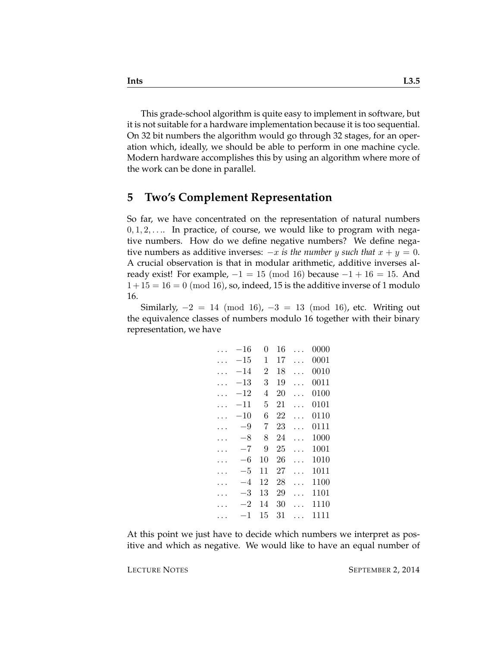This grade-school algorithm is quite easy to implement in software, but it is not suitable for a hardware implementation because it is too sequential. On 32 bit numbers the algorithm would go through 32 stages, for an operation which, ideally, we should be able to perform in one machine cycle. Modern hardware accomplishes this by using an algorithm where more of the work can be done in parallel.

#### **5 Two's Complement Representation**

So far, we have concentrated on the representation of natural numbers  $0, 1, 2, \ldots$  In practice, of course, we would like to program with negative numbers. How do we define negative numbers? We define negative numbers as additive inverses:  $-x$  *is the number y such that*  $x + y = 0$ . A crucial observation is that in modular arithmetic, additive inverses already exist! For example,  $-1 = 15 \pmod{16}$  because  $-1 + 16 = 15$ . And  $1+15=16=0$  (mod 16), so, indeed, 15 is the additive inverse of 1 modulo 16.

Similarly,  $-2 = 14 \pmod{16}$ ,  $-3 = 13 \pmod{16}$ , etc. Writing out the equivalence classes of numbers modulo 16 together with their binary representation, we have

| $-16\,$      | 0              | 16 | 0000 |
|--------------|----------------|----|------|
| $-15\,$      | 1              | 17 | 0001 |
| -14          | $\overline{2}$ | 18 | 0010 |
| $^{-13}$     | 3              | 19 | 0011 |
| $^{\rm -12}$ | 4              | 20 | 0100 |
| -11          | 5              | 21 | 0101 |
| $^{-10}$     | 6              | 22 | 0110 |
| -9           | 7              | 23 | 0111 |
| $-8$         | 8              | 24 | 1000 |
| -7           | 9              | 25 | 1001 |
| -6           | 10             | 26 | 1010 |
| -5           | 11             | 27 | 1011 |
| -4           | 12             | 28 | 1100 |
| -3           | 13             | 29 | 1101 |
| -2           | 14             | 30 | 1110 |
| 1            | 15             | 31 | 1111 |
|              |                |    |      |

At this point we just have to decide which numbers we interpret as positive and which as negative. We would like to have an equal number of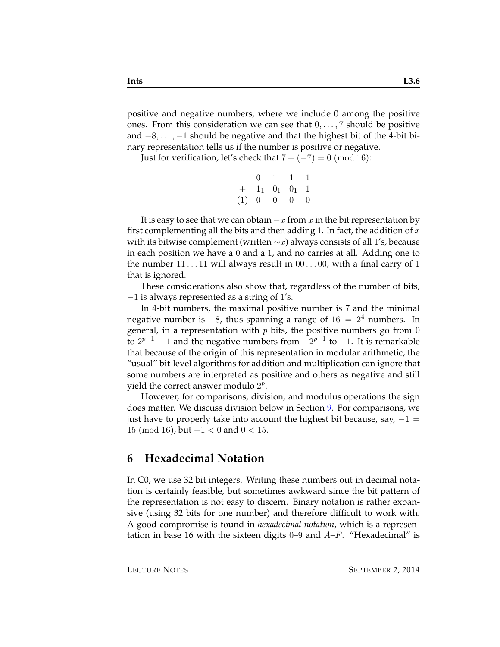positive and negative numbers, where we include 0 among the positive ones. From this consideration we can see that  $0, \ldots, 7$  should be positive and  $-8, \ldots, -1$  should be negative and that the highest bit of the 4-bit binary representation tells us if the number is positive or negative.

Just for verification, let's check that  $7 + (-7) = 0 \pmod{16}$ :

|     |    | Ŧ.       |                     |          |
|-----|----|----------|---------------------|----------|
| $+$ |    |          | $1_1$ $0_1$ $0_1$ 1 |          |
| (1) | -0 | $\Omega$ | $\mathbf{0}$        | $\theta$ |

It is easy to see that we can obtain  $-x$  from x in the bit representation by first complementing all the bits and then adding 1. In fact, the addition of  $x$ with its bitwise complement (written  $\sim x$ ) always consists of all 1's, because in each position we have a 0 and a 1, and no carries at all. Adding one to the number  $11 \ldots 11$  will always result in  $00 \ldots 00$ , with a final carry of 1 that is ignored.

These considerations also show that, regardless of the number of bits,  $-1$  is always represented as a string of 1's.

In 4-bit numbers, the maximal positive number is 7 and the minimal negative number is  $-8$ , thus spanning a range of  $16 = 2<sup>4</sup>$  numbers. In general, in a representation with  $p$  bits, the positive numbers go from 0 to  $2^{p-1}$  − 1 and the negative numbers from  $-2^{p-1}$  to −1. It is remarkable that because of the origin of this representation in modular arithmetic, the "usual" bit-level algorithms for addition and multiplication can ignore that some numbers are interpreted as positive and others as negative and still yield the correct answer modulo  $2^p$ .

However, for comparisons, division, and modulus operations the sign does matter. We discuss division below in Section [9.](#page-8-0) For comparisons, we just have to properly take into account the highest bit because, say,  $-1 =$ 15 (mod 16), but  $-1 < 0$  and  $0 < 15$ .

## **6 Hexadecimal Notation**

In C0, we use 32 bit integers. Writing these numbers out in decimal notation is certainly feasible, but sometimes awkward since the bit pattern of the representation is not easy to discern. Binary notation is rather expansive (using 32 bits for one number) and therefore difficult to work with. A good compromise is found in *hexadecimal notation*, which is a representation in base 16 with the sixteen digits  $0-9$  and  $A-F$ . "Hexadecimal" is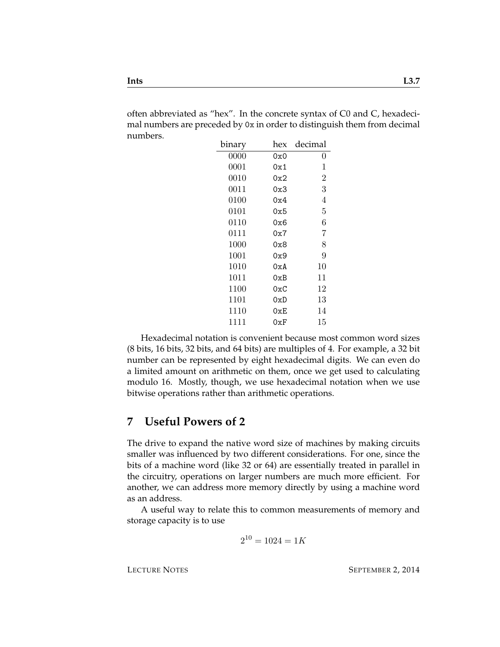often abbreviated as "hex". In the concrete syntax of C0 and C, hexadecimal numbers are preceded by 0x in order to distinguish them from decimal numbers.

| binary | hex            | decimal |
|--------|----------------|---------|
| 0000   | 0x0            | 0       |
| 0001   | 0x1            | 1       |
| 0010   | 0x2            | 2       |
| 0011   | 0x3            | 3       |
| 0100   | 0x4            | 4       |
| 0101   | 0x5            | 5       |
| 0110   | 0x6            | 6       |
| 0111   | 0x7            | 7       |
| 1000   | 0x8            | 8       |
| 1001   | 0x9            | 9       |
| 1010   | 0xA            | 10      |
| 1011   | 0xB            | 11      |
| 1100   | 0xC            | 12      |
| 1101   | 0xD            | 13      |
| 1110   | 0xE            | 14      |
| 1111   | $0\mathrm{xF}$ | 15      |

Hexadecimal notation is convenient because most common word sizes (8 bits, 16 bits, 32 bits, and 64 bits) are multiples of 4. For example, a 32 bit number can be represented by eight hexadecimal digits. We can even do a limited amount on arithmetic on them, once we get used to calculating modulo 16. Mostly, though, we use hexadecimal notation when we use bitwise operations rather than arithmetic operations.

## **7 Useful Powers of 2**

The drive to expand the native word size of machines by making circuits smaller was influenced by two different considerations. For one, since the bits of a machine word (like 32 or 64) are essentially treated in parallel in the circuitry, operations on larger numbers are much more efficient. For another, we can address more memory directly by using a machine word as an address.

A useful way to relate this to common measurements of memory and storage capacity is to use

$$
2^{10} = 1024 = 1K
$$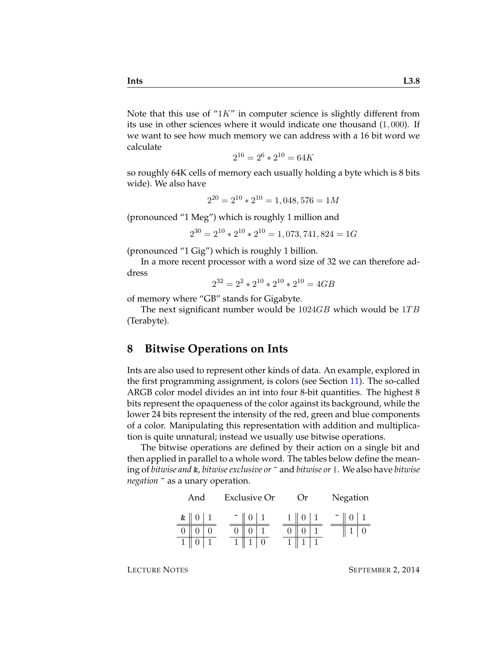Note that this use of " $1K$ " in computer science is slightly different from its use in other sciences where it would indicate one thousand (1, 000). If we want to see how much memory we can address with a 16 bit word we calculate

$$
2^{16} = 2^6 \times 2^{10} = 64K
$$

so roughly 64K cells of memory each usually holding a byte which is 8 bits wide). We also have

$$
2^{20} = 2^{10} \times 2^{10} = 1,048,576 = 1M
$$

(pronounced "1 Meg") which is roughly 1 million and

$$
2^{30} = 2^{10} \times 2^{10} \times 2^{10} = 1,073,741,824 = 1G
$$

(pronounced "1 Gig") which is roughly 1 billion.

In a more recent processor with a word size of 32 we can therefore address

$$
2^{32} = 2^2 \times 2^{10} \times 2^{10} \times 2^{10} = 4GB
$$

of memory where "GB" stands for Gigabyte.

The next significant number would be  $1024GB$  which would be  $1TB$ (Terabyte).

## **8 Bitwise Operations on Ints**

Ints are also used to represent other kinds of data. An example, explored in the first programming assignment, is colors (see Section [11\)](#page-10-0). The so-called ARGB color model divides an int into four 8-bit quantities. The highest 8 bits represent the opaqueness of the color against its background, while the lower 24 bits represent the intensity of the red, green and blue components of a color. Manipulating this representation with addition and multiplication is quite unnatural; instead we usually use bitwise operations.

The bitwise operations are defined by their action on a single bit and then applied in parallel to a whole word. The tables below define the meaning of *bitwise and* &, *bitwise exclusive or* ^ and *bitwise or* |. We also have *bitwise negation* ~ as a unary operation.

|           | And |  | <b>Exclusive Or</b> |  | Or) |  |        | Negation |  |
|-----------|-----|--|---------------------|--|-----|--|--------|----------|--|
| $\&$ $\ $ |     |  |                     |  |     |  | $\sim$ |          |  |
|           |     |  |                     |  |     |  |        |          |  |
|           |     |  |                     |  |     |  |        |          |  |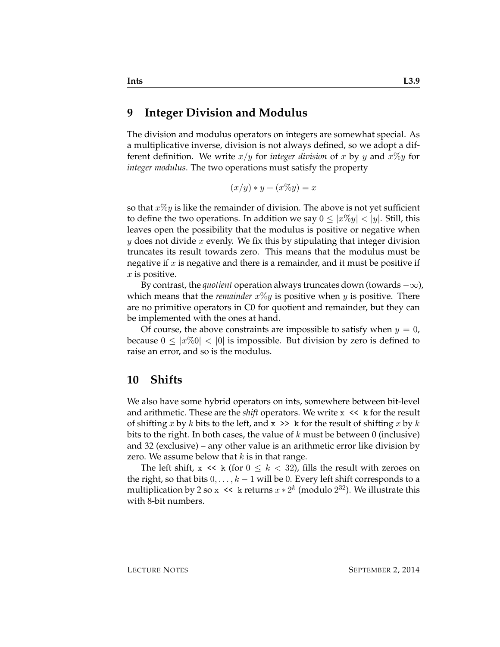#### <span id="page-8-0"></span>**9 Integer Division and Modulus**

The division and modulus operators on integers are somewhat special. As a multiplicative inverse, division is not always defined, so we adopt a different definition. We write  $x/y$  for *integer division* of x by y and  $x\%y$  for *integer modulus*. The two operations must satisfy the property

$$
(x/y) * y + (x\%y) = x
$$

so that  $x\%y$  is like the remainder of division. The above is not yet sufficient to define the two operations. In addition we say  $0 \leq |x\%y| < |y|$ . Still, this leaves open the possibility that the modulus is positive or negative when y does not divide x evenly. We fix this by stipulating that integer division truncates its result towards zero. This means that the modulus must be negative if  $x$  is negative and there is a remainder, and it must be positive if  $x$  is positive.

By contrast, the *quotient* operation always truncates down (towards  $-\infty$ ), which means that the *remainder*  $x\%y$  is positive when  $y$  is positive. There are no primitive operators in C0 for quotient and remainder, but they can be implemented with the ones at hand.

Of course, the above constraints are impossible to satisfy when  $y = 0$ , because  $0 \leq |x\%0| < 0$  is impossible. But division by zero is defined to raise an error, and so is the modulus.

#### **10 Shifts**

We also have some hybrid operators on ints, somewhere between bit-level and arithmetic. These are the *shift* operators. We write  $x \leq k$  for the result of shifting x by k bits to the left, and  $x \gg k$  for the result of shifting x by k bits to the right. In both cases, the value of  $k$  must be between 0 (inclusive) and 32 (exclusive) – any other value is an arithmetic error like division by zero. We assume below that  $k$  is in that range.

The left shift,  $x \ll k$  (for  $0 \leq k \lt 32$ ), fills the result with zeroes on the right, so that bits  $0, \ldots, k-1$  will be 0. Every left shift corresponds to a multiplication by 2 so x << k returns  $x * 2^k$  (modulo  $2^{32}$ ). We illustrate this with 8-bit numbers.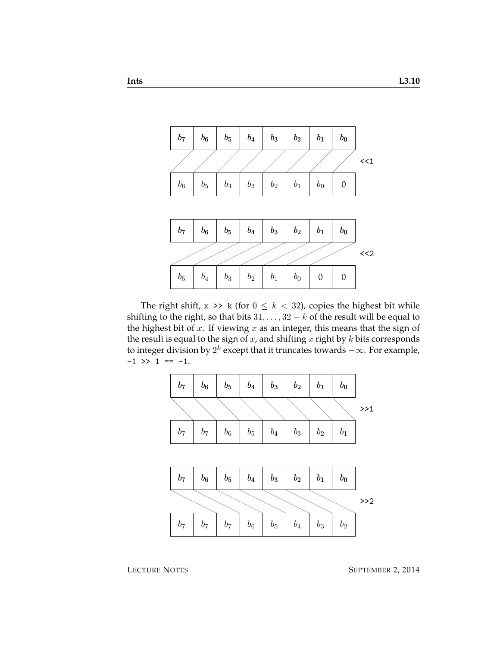

The right shift,  $x \gg k$  (for  $0 \le k < 32$ ), copies the highest bit while shifting to the right, so that bits  $31, \ldots, 32 - k$  of the result will be equal to the highest bit of  $x$ . If viewing  $x$  as an integer, this means that the sign of the result is equal to the sign of  $x$ , and shifting  $x$  right by  $k$  bits corresponds to integer division by  $2^k$  except that it truncates towards  $-\infty.$  For example,  $-1$  >> 1 ==  $-1$ .

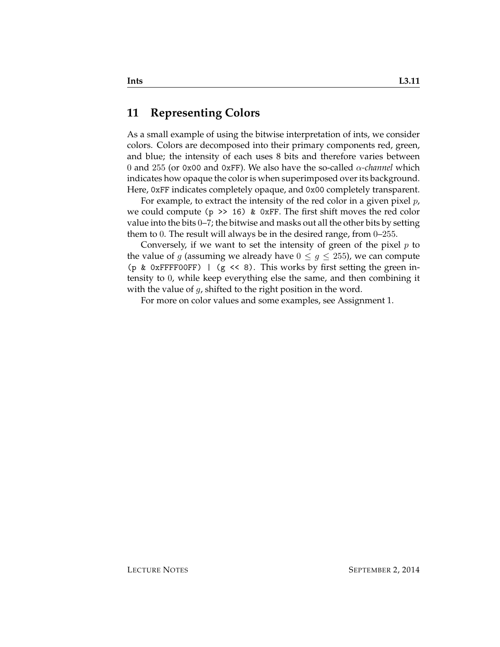#### <span id="page-10-0"></span>**11 Representing Colors**

As a small example of using the bitwise interpretation of ints, we consider colors. Colors are decomposed into their primary components red, green, and blue; the intensity of each uses 8 bits and therefore varies between 0 and 255 (or 0x00 and 0xFF). We also have the so-called α*-channel* which indicates how opaque the color is when superimposed over its background. Here, 0xFF indicates completely opaque, and 0x00 completely transparent.

For example, to extract the intensity of the red color in a given pixel  $p$ , we could compute ( $p \gg 16$ ) & 0xFF. The first shift moves the red color value into the bits 0–7; the bitwise and masks out all the other bits by setting them to 0. The result will always be in the desired range, from 0–255.

Conversely, if we want to set the intensity of green of the pixel  $p$  to the value of g (assuming we already have  $0 \leq g \leq 255$ ), we can compute (p & 0xFFFF00FF) | (g << 8). This works by first setting the green intensity to 0, while keep everything else the same, and then combining it with the value of  $q$ , shifted to the right position in the word.

For more on color values and some examples, see Assignment 1.